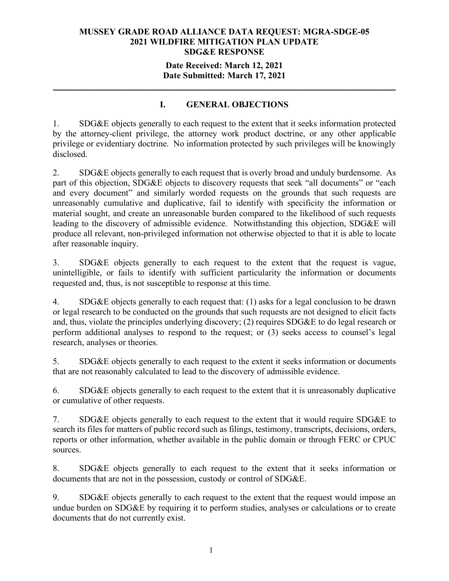### **Date Received: March 12, 2021 Date Submitted: March 17, 2021**

**\_\_\_\_\_\_\_\_\_\_\_\_\_\_\_\_\_\_\_\_\_\_\_\_\_\_\_\_\_\_\_\_\_\_\_\_\_\_\_\_\_\_\_\_\_\_\_\_\_\_\_\_\_\_\_\_\_\_\_\_\_\_\_\_\_\_\_\_\_\_**

## **I. GENERAL OBJECTIONS**

1. SDG&E objects generally to each request to the extent that it seeks information protected by the attorney-client privilege, the attorney work product doctrine, or any other applicable privilege or evidentiary doctrine. No information protected by such privileges will be knowingly disclosed.

2. SDG&E objects generally to each request that is overly broad and unduly burdensome. As part of this objection, SDG&E objects to discovery requests that seek "all documents" or "each and every document" and similarly worded requests on the grounds that such requests are unreasonably cumulative and duplicative, fail to identify with specificity the information or material sought, and create an unreasonable burden compared to the likelihood of such requests leading to the discovery of admissible evidence. Notwithstanding this objection, SDG&E will produce all relevant, non-privileged information not otherwise objected to that it is able to locate after reasonable inquiry.

3. SDG&E objects generally to each request to the extent that the request is vague, unintelligible, or fails to identify with sufficient particularity the information or documents requested and, thus, is not susceptible to response at this time.

4. SDG&E objects generally to each request that: (1) asks for a legal conclusion to be drawn or legal research to be conducted on the grounds that such requests are not designed to elicit facts and, thus, violate the principles underlying discovery; (2) requires SDG&E to do legal research or perform additional analyses to respond to the request; or (3) seeks access to counsel's legal research, analyses or theories.

5. SDG&E objects generally to each request to the extent it seeks information or documents that are not reasonably calculated to lead to the discovery of admissible evidence.

6. SDG&E objects generally to each request to the extent that it is unreasonably duplicative or cumulative of other requests.

7. SDG&E objects generally to each request to the extent that it would require SDG&E to search its files for matters of public record such as filings, testimony, transcripts, decisions, orders, reports or other information, whether available in the public domain or through FERC or CPUC sources.

8. SDG&E objects generally to each request to the extent that it seeks information or documents that are not in the possession, custody or control of SDG&E.

9. SDG&E objects generally to each request to the extent that the request would impose an undue burden on SDG&E by requiring it to perform studies, analyses or calculations or to create documents that do not currently exist.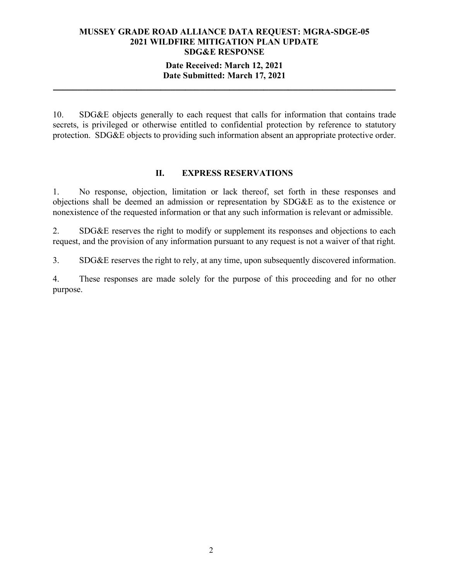### **Date Received: March 12, 2021 Date Submitted: March 17, 2021**

**\_\_\_\_\_\_\_\_\_\_\_\_\_\_\_\_\_\_\_\_\_\_\_\_\_\_\_\_\_\_\_\_\_\_\_\_\_\_\_\_\_\_\_\_\_\_\_\_\_\_\_\_\_\_\_\_\_\_\_\_\_\_\_\_\_\_\_\_\_\_**

10. SDG&E objects generally to each request that calls for information that contains trade secrets, is privileged or otherwise entitled to confidential protection by reference to statutory protection. SDG&E objects to providing such information absent an appropriate protective order.

### **II. EXPRESS RESERVATIONS**

1. No response, objection, limitation or lack thereof, set forth in these responses and objections shall be deemed an admission or representation by SDG&E as to the existence or nonexistence of the requested information or that any such information is relevant or admissible.

2. SDG&E reserves the right to modify or supplement its responses and objections to each request, and the provision of any information pursuant to any request is not a waiver of that right.

3. SDG&E reserves the right to rely, at any time, upon subsequently discovered information.

4. These responses are made solely for the purpose of this proceeding and for no other purpose.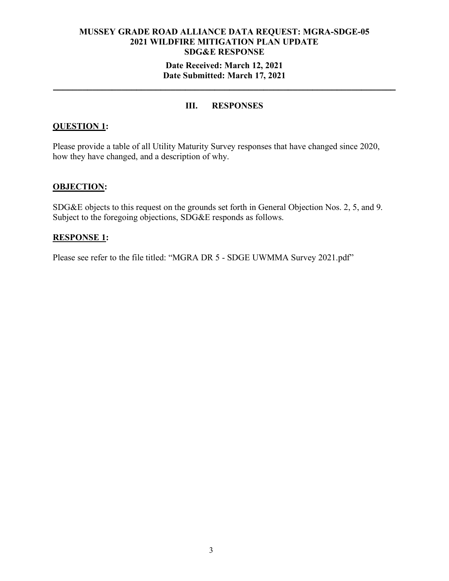### **Date Received: March 12, 2021 Date Submitted: March 17, 2021**

**\_\_\_\_\_\_\_\_\_\_\_\_\_\_\_\_\_\_\_\_\_\_\_\_\_\_\_\_\_\_\_\_\_\_\_\_\_\_\_\_\_\_\_\_\_\_\_\_\_\_\_\_\_\_\_\_\_\_\_\_\_\_\_\_\_\_\_\_\_\_**

### **III. RESPONSES**

### **QUESTION 1:**

Please provide a table of all Utility Maturity Survey responses that have changed since 2020, how they have changed, and a description of why.

### **OBJECTION:**

SDG&E objects to this request on the grounds set forth in General Objection Nos. 2, 5, and 9. Subject to the foregoing objections, SDG&E responds as follows.

### **RESPONSE 1:**

Please see refer to the file titled: "MGRA DR 5 - SDGE UWMMA Survey 2021.pdf"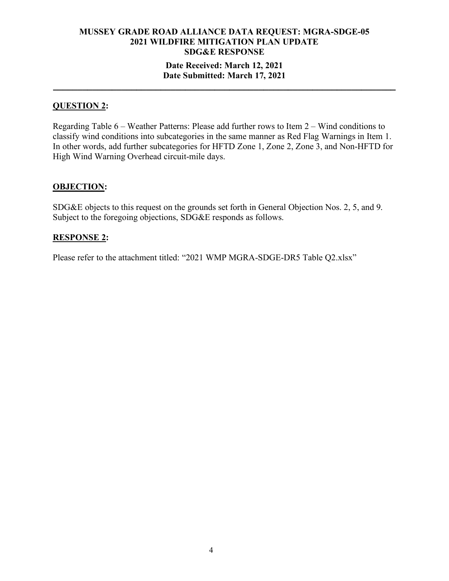## **MUSSEY GRADE ROAD ALLIANCE DATA REQUEST: MGRA-SDGE-05 2021 WILDFIRE MITIGATION PLAN UPDATE SDG&E RESPONSE Date Received: March 12, 2021**

## **Date Submitted: March 17, 2021 \_\_\_\_\_\_\_\_\_\_\_\_\_\_\_\_\_\_\_\_\_\_\_\_\_\_\_\_\_\_\_\_\_\_\_\_\_\_\_\_\_\_\_\_\_\_\_\_\_\_\_\_\_\_\_\_\_\_\_\_\_\_\_\_\_\_\_\_\_\_**

### **QUESTION 2:**

Regarding Table 6 – Weather Patterns: Please add further rows to Item 2 – Wind conditions to classify wind conditions into subcategories in the same manner as Red Flag Warnings in Item 1. In other words, add further subcategories for HFTD Zone 1, Zone 2, Zone 3, and Non-HFTD for High Wind Warning Overhead circuit-mile days.

### **OBJECTION:**

SDG&E objects to this request on the grounds set forth in General Objection Nos. 2, 5, and 9. Subject to the foregoing objections, SDG&E responds as follows.

### **RESPONSE 2:**

Please refer to the attachment titled: "2021 WMP MGRA-SDGE-DR5 Table Q2.xlsx"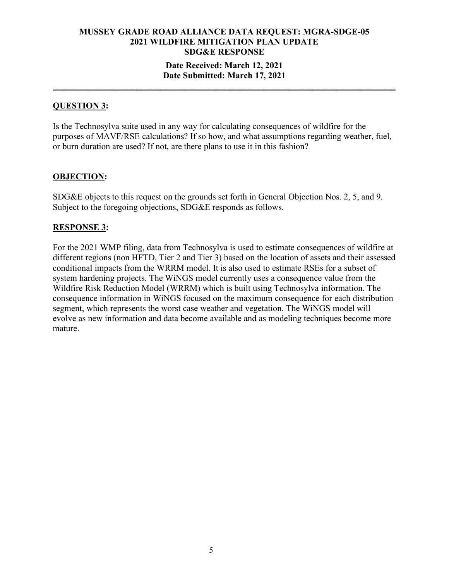### **Date Received: March 12, 2021 Date Submitted: March 17, 2021**

**\_\_\_\_\_\_\_\_\_\_\_\_\_\_\_\_\_\_\_\_\_\_\_\_\_\_\_\_\_\_\_\_\_\_\_\_\_\_\_\_\_\_\_\_\_\_\_\_\_\_\_\_\_\_\_\_\_\_\_\_\_\_\_\_\_\_\_\_\_\_**

### **QUESTION 3:**

Is the Technosylva suite used in any way for calculating consequences of wildfire for the purposes of MAVF/RSE calculations? If so how, and what assumptions regarding weather, fuel, or burn duration are used? If not, are there plans to use it in this fashion?

### **OBJECTION:**

SDG&E objects to this request on the grounds set forth in General Objection Nos. 2, 5, and 9. Subject to the foregoing objections, SDG&E responds as follows.

### **RESPONSE 3:**

For the 2021 WMP filing, data from Technosylva is used to estimate consequences of wildfire at different regions (non HFTD, Tier 2 and Tier 3) based on the location of assets and their assessed conditional impacts from the WRRM model. It is also used to estimate RSEs for a subset of system hardening projects. The WiNGS model currently uses a consequence value from the Wildfire Risk Reduction Model (WRRM) which is built using Technosylva information. The consequence information in WiNGS focused on the maximum consequence for each distribution segment, which represents the worst case weather and vegetation. The WiNGS model will evolve as new information and data become available and as modeling techniques become more mature.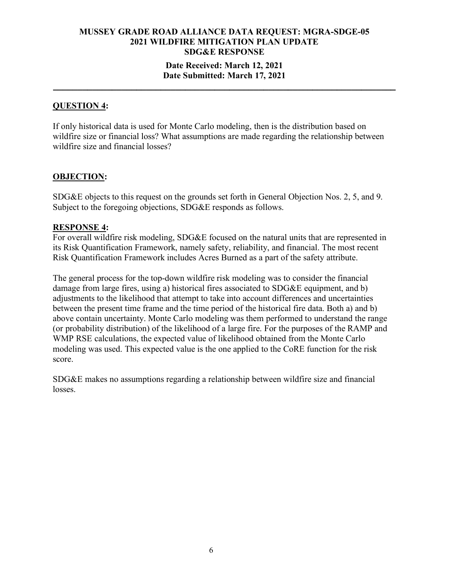### **Date Received: March 12, 2021 Date Submitted: March 17, 2021**

**\_\_\_\_\_\_\_\_\_\_\_\_\_\_\_\_\_\_\_\_\_\_\_\_\_\_\_\_\_\_\_\_\_\_\_\_\_\_\_\_\_\_\_\_\_\_\_\_\_\_\_\_\_\_\_\_\_\_\_\_\_\_\_\_\_\_\_\_\_\_**

### **QUESTION 4:**

If only historical data is used for Monte Carlo modeling, then is the distribution based on wildfire size or financial loss? What assumptions are made regarding the relationship between wildfire size and financial losses?

### **OBJECTION:**

SDG&E objects to this request on the grounds set forth in General Objection Nos. 2, 5, and 9. Subject to the foregoing objections, SDG&E responds as follows.

### **RESPONSE 4:**

For overall wildfire risk modeling, SDG&E focused on the natural units that are represented in its Risk Quantification Framework, namely safety, reliability, and financial. The most recent Risk Quantification Framework includes Acres Burned as a part of the safety attribute.

The general process for the top-down wildfire risk modeling was to consider the financial damage from large fires, using a) historical fires associated to SDG&E equipment, and b) adjustments to the likelihood that attempt to take into account differences and uncertainties between the present time frame and the time period of the historical fire data. Both a) and b) above contain uncertainty. Monte Carlo modeling was them performed to understand the range (or probability distribution) of the likelihood of a large fire. For the purposes of the RAMP and WMP RSE calculations, the expected value of likelihood obtained from the Monte Carlo modeling was used. This expected value is the one applied to the CoRE function for the risk score.

SDG&E makes no assumptions regarding a relationship between wildfire size and financial losses.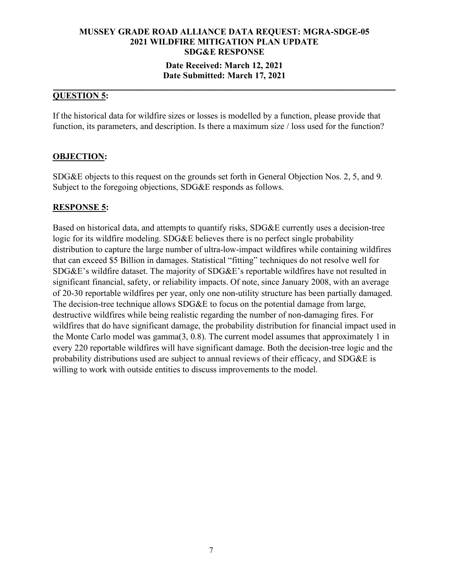### **Date Received: March 12, 2021 Date Submitted: March 17, 2021**

#### **\_\_\_\_\_\_\_\_\_\_\_\_\_\_\_\_\_\_\_\_\_\_\_\_\_\_\_\_\_\_\_\_\_\_\_\_\_\_\_\_\_\_\_\_\_\_\_\_\_\_\_\_\_\_\_\_\_\_\_\_\_\_\_\_\_\_\_\_\_\_ QUESTION 5:**

If the historical data for wildfire sizes or losses is modelled by a function, please provide that function, its parameters, and description. Is there a maximum size / loss used for the function?

### **OBJECTION:**

SDG&E objects to this request on the grounds set forth in General Objection Nos. 2, 5, and 9. Subject to the foregoing objections, SDG&E responds as follows.

### **RESPONSE 5:**

Based on historical data, and attempts to quantify risks, SDG&E currently uses a decision-tree logic for its wildfire modeling. SDG&E believes there is no perfect single probability distribution to capture the large number of ultra-low-impact wildfires while containing wildfires that can exceed \$5 Billion in damages. Statistical "fitting" techniques do not resolve well for SDG&E's wildfire dataset. The majority of SDG&E's reportable wildfires have not resulted in significant financial, safety, or reliability impacts. Of note, since January 2008, with an average of 20-30 reportable wildfires per year, only one non-utility structure has been partially damaged. The decision-tree technique allows SDG&E to focus on the potential damage from large, destructive wildfires while being realistic regarding the number of non-damaging fires. For wildfires that do have significant damage, the probability distribution for financial impact used in the Monte Carlo model was gamma(3, 0.8). The current model assumes that approximately 1 in every 220 reportable wildfires will have significant damage. Both the decision-tree logic and the probability distributions used are subject to annual reviews of their efficacy, and SDG&E is willing to work with outside entities to discuss improvements to the model.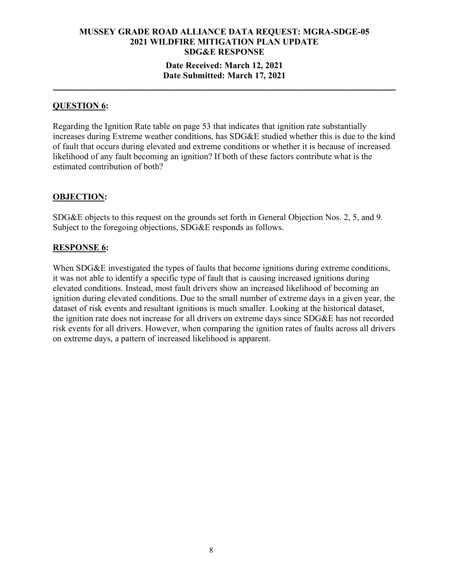### **MUSSEY GRADE ROAD ALLIANCE DATA REQUEST: MGRA-SDGE-05 2021 WILDFIRE MITIGATION PLAN UPDATE SDG&E RESPONSE Date Received: March 12, 2021 Date Submitted: March 17, 2021**

**\_\_\_\_\_\_\_\_\_\_\_\_\_\_\_\_\_\_\_\_\_\_\_\_\_\_\_\_\_\_\_\_\_\_\_\_\_\_\_\_\_\_\_\_\_\_\_\_\_\_\_\_\_\_\_\_\_\_\_\_\_\_\_\_\_\_\_\_\_\_**

### **QUESTION 6:**

Regarding the Ignition Rate table on page 53 that indicates that ignition rate substantially increases during Extreme weather conditions, has SDG&E studied whether this is due to the kind of fault that occurs during elevated and extreme conditions or whether it is because of increased likelihood of any fault becoming an ignition? If both of these factors contribute what is the estimated contribution of both?

### **OBJECTION:**

SDG&E objects to this request on the grounds set forth in General Objection Nos. 2, 5, and 9. Subject to the foregoing objections, SDG&E responds as follows.

### **RESPONSE 6:**

When SDG&E investigated the types of faults that become ignitions during extreme conditions, it was not able to identify a specific type of fault that is causing increased ignitions during elevated conditions. Instead, most fault drivers show an increased likelihood of becoming an ignition during elevated conditions. Due to the small number of extreme days in a given year, the dataset of risk events and resultant ignitions is much smaller. Looking at the historical dataset, the ignition rate does not increase for all drivers on extreme days since SDG&E has not recorded risk events for all drivers. However, when comparing the ignition rates of faults across all drivers on extreme days, a pattern of increased likelihood is apparent.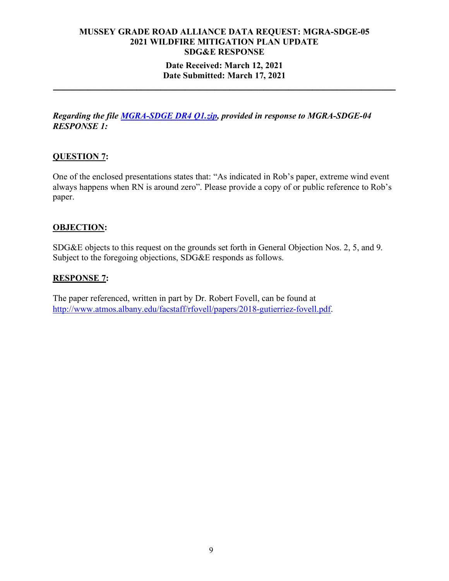### **Date Received: March 12, 2021 Date Submitted: March 17, 2021**

**\_\_\_\_\_\_\_\_\_\_\_\_\_\_\_\_\_\_\_\_\_\_\_\_\_\_\_\_\_\_\_\_\_\_\_\_\_\_\_\_\_\_\_\_\_\_\_\_\_\_\_\_\_\_\_\_\_\_\_\_\_\_\_\_\_\_\_\_\_\_**

*Regarding the file [MGRA-SDGE DR4 Q1.zip,](https://sempra-my.sharepoint.com/:u:/g/personal/kraagas_semprautilities_com/EZHcsn70a2ZJg9WSi65dghoBgCLw8fgF8r2Bi3jFSIENOQ?e=q6KYsI) provided in response to MGRA-SDGE-04 RESPONSE 1:*

### **QUESTION 7:**

One of the enclosed presentations states that: "As indicated in Rob's paper, extreme wind event always happens when RN is around zero". Please provide a copy of or public reference to Rob's paper.

### **OBJECTION:**

SDG&E objects to this request on the grounds set forth in General Objection Nos. 2, 5, and 9. Subject to the foregoing objections, SDG&E responds as follows.

### **RESPONSE 7:**

The paper referenced, written in part by Dr. Robert Fovell, can be found at [http://www.atmos.albany.edu/facstaff/rfovell/papers/2018-gutierriez-fovell.pdf.](http://www.atmos.albany.edu/facstaff/rfovell/papers/2018-gutierriez-fovell.pdf)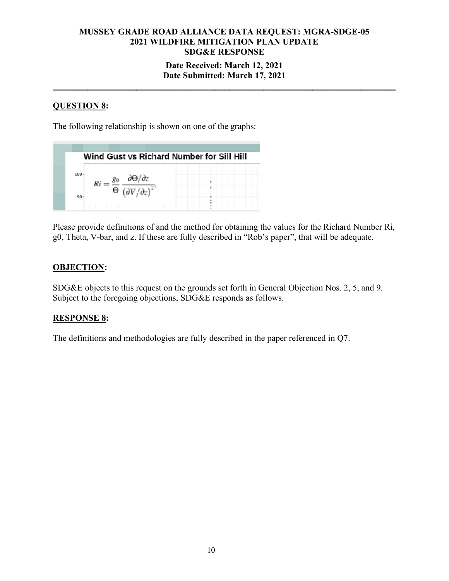### **Date Received: March 12, 2021 Date Submitted: March 17, 2021**

**\_\_\_\_\_\_\_\_\_\_\_\_\_\_\_\_\_\_\_\_\_\_\_\_\_\_\_\_\_\_\_\_\_\_\_\_\_\_\_\_\_\_\_\_\_\_\_\_\_\_\_\_\_\_\_\_\_\_\_\_\_\_\_\_\_\_\_\_\_\_**

### **QUESTION 8:**

The following relationship is shown on one of the graphs:

| Wind Gust vs Richard Number for Sill Hill |                                 |  |
|-------------------------------------------|---------------------------------|--|
| 100                                       | .<br>$\theta$ $\sqrt{2^{12}+1}$ |  |

Please provide definitions of and the method for obtaining the values for the Richard Number Ri, g0, Theta, V-bar, and z. If these are fully described in "Rob's paper", that will be adequate.

### **OBJECTION:**

SDG&E objects to this request on the grounds set forth in General Objection Nos. 2, 5, and 9. Subject to the foregoing objections, SDG&E responds as follows.

### **RESPONSE 8:**

The definitions and methodologies are fully described in the paper referenced in Q7.